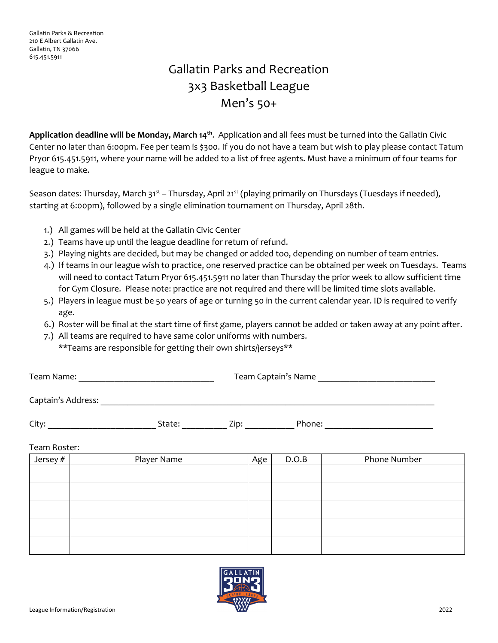## Gallatin Parks and Recreation 3x3 Basketball League Men's 50+

**Application deadline will be Monday, March 14th**. Application and all fees must be turned into the Gallatin Civic Center no later than 6:00pm. Fee per team is \$300. If you do not have a team but wish to play please contact Tatum Pryor 615.451.5911, where your name will be added to a list of free agents. Must have a minimum of four teams for league to make.

Season dates: Thursday, March 31<sup>st</sup> – Thursday, April 21<sup>st</sup> (playing primarily on Thursdays (Tuesdays if needed), starting at 6:00pm), followed by a single elimination tournament on Thursday, April 28th.

- 1.) All games will be held at the Gallatin Civic Center
- 2.) Teams have up until the league deadline for return of refund.
- 3.) Playing nights are decided, but may be changed or added too, depending on number of team entries.
- 4.) If teams in our league wish to practice, one reserved practice can be obtained per week on Tuesdays. Teams will need to contact Tatum Pryor 615.451.5911 no later than Thursday the prior week to allow sufficient time for Gym Closure. Please note: practice are not required and there will be limited time slots available.
- 5.) Players in league must be 50 years of age or turning 50 in the current calendar year. ID is required to verify age.
- 6.) Roster will be final at the start time of first game, players cannot be added or taken away at any point after.
- 7.) All teams are required to have same color uniforms with numbers. \*\*Teams are responsible for getting their own shirts/jerseys\*\*

| Team Name: | Team Captain's Name |
|------------|---------------------|
|            |                     |

Captain's Address: \_\_\_\_\_\_\_\_\_\_\_\_\_\_\_\_\_\_\_\_\_\_\_\_\_\_\_\_\_\_\_\_\_\_\_\_\_\_\_\_\_\_\_\_\_\_\_\_\_\_\_\_\_\_\_\_\_\_\_\_\_\_\_\_\_\_\_\_\_\_\_\_\_\_

City: \_\_\_\_\_\_\_\_\_\_\_\_\_\_\_\_\_\_\_\_\_\_\_\_ State: \_\_\_\_\_\_\_\_\_\_ Zip: \_\_\_\_\_\_\_\_\_\_\_ Phone: \_\_\_\_\_\_\_\_\_\_\_\_\_\_\_\_\_\_\_\_\_\_\_\_

Team Roster:

| Jersey # | Player Name | Age ' | D.O.B | Phone Number |
|----------|-------------|-------|-------|--------------|
|          |             |       |       |              |
|          |             |       |       |              |
|          |             |       |       |              |
|          |             |       |       |              |
|          |             |       |       |              |